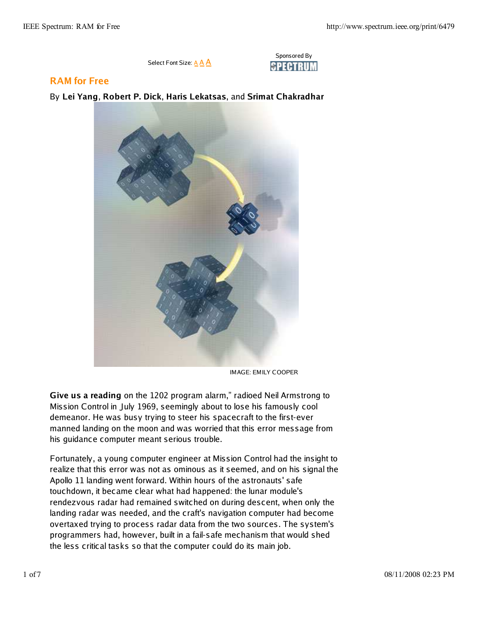Select Font Size:  $\underline{A} \underline{A} \underline{A}$ 

Sponsored By **SPECTRUM** 

## **RAM for Free**

## By **Lei Yang**, **Robert P. Dick**, **Haris Lekatsas**, and **Srimat Chakradhar**



IMAGE: EMILY COOPER

**Give us a reading** on the 1202 program alarm," radioed Neil Armstrong to Mission Control in July 1969, seemingly about to lose his famously cool demeanor. He was busy trying to steer his spacecraft to the first-ever manned landing on the moon and was worried that this error message from his guidance computer meant serious trouble.

Fortunately, a young computer engineer at Mission Control had the insight to realize that this error was not as ominous as it seemed, and on his signal the Apollo 11 landing went forward. Within hours of the astronauts' safe touchdown, it became clear what had happened: the lunar module's rendezvous radar had remained switched on during descent, when only the landing radar was needed, and the craft's navigation computer had become overtaxed trying to process radar data from the two sources. The system's programmers had, however, built in a fail-safe mechanism that would shed the less critical tasks so that the computer could do its main job.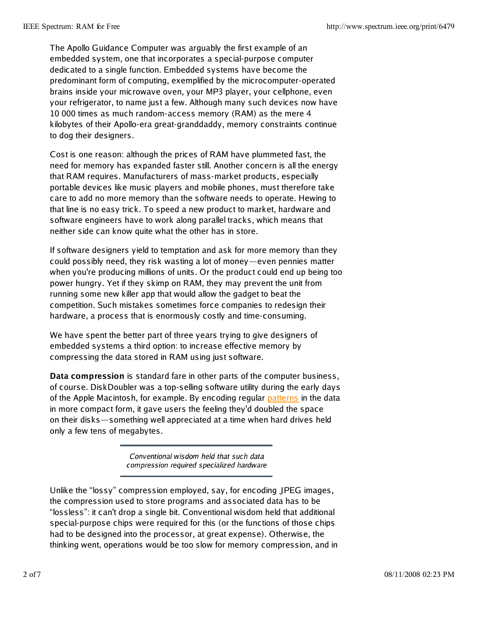The Apollo Guidance Computer was arguably the first example of an embedded system, one that incorporates a special-purpose computer dedicated to a single function. Embedded systems have become the predominant form of computing, exemplified by the microcomputer-operated brains inside your microwave oven, your MP3 player, your cellphone, even your refrigerator, to name just a few. Although many such devices now have 10 000 times as much random-access memory (RAM) as the mere 4 kilobytes of their Apollo-era great-granddaddy, memory constraints continue to dog their designers.

Cost is one reason: although the prices of RAM have plummeted fast, the need for memory has expanded faster still. Another concern is all the energy that RAM requires. Manufacturers of mass-market products, especially portable devices like music players and mobile phones, must therefore take care to add no more memory than the software needs to operate. Hewing to that line is no easy trick. To speed a new product to market, hardware and software engineers have to work along parallel tracks, which means that neither side can know quite what the other has in store.

If software designers yield to temptation and ask for more memory than they could possibly need, they risk wasting a lot of money—even pennies matter when you're producing millions of units. Or the product could end up being too power hungry. Yet if they skimp on RAM, they may prevent the unit from running some new killer app that would allow the gadget to beat the competition. Such mistakes sometimes force companies to redesign their hardware, a process that is enormously costly and time-consuming.

We have spent the better part of three years trying to give designers of embedded systems a third option: to increase effective memory by compressing the data stored in RAM using just software.

**Data compression** is standard fare in other parts of the computer business, of course. DiskDoubler was a top-selling software utility during the early days of the Apple Macintosh, for example. By encoding regular patterns in the data in more compact form, it gave users the feeling they'd doubled the space on their disks-something well appreciated at a time when hard drives held only a few tens of megabytes.

> Conventional wisdom held that such data compression required specialized hardware

Unlike the "lossy" compression employed, say, for encoding JPEG images, the compression used to store programs and associated data has to be "lossless": it can't drop a single bit. Conventional wisdom held that additional special-purpose chips were required for this (or the functions of those chips had to be designed into the processor, at great expense). Otherwise, the thinking went, operations would be too slow for memory compression, and in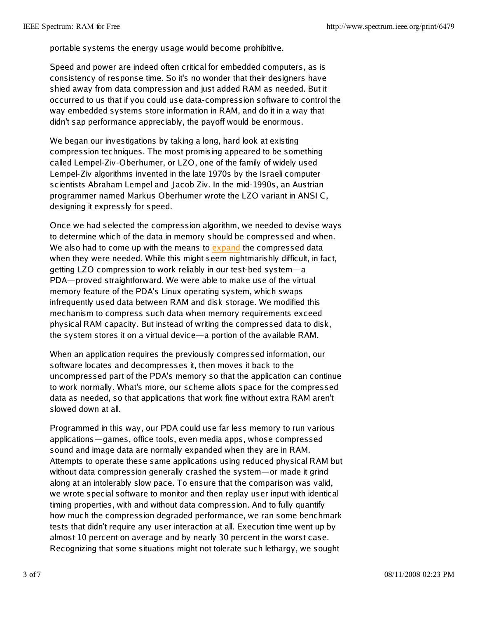portable systems the energy usage would become prohibitive.

Speed and power are indeed often critical for embedded computers, as is consistency of response time. So it's no wonder that their designers have shied away from data compression and just added RAM as needed. But it occurred to us that if you could use data-compression software to control the way embedded systems store information in RAM, and do it in a way that didn't sap performance appreciably, the payoff would be enormous.

We began our investigations by taking a long, hard look at existing compression techniques. The most promising appeared to be something called Lempel-Ziv-Oberhumer, or LZO, one of the family of widely used Lempel-Ziv algorithms invented in the late 1970s by the Israeli computer scientists Abraham Lempel and Jacob Ziv. In the mid-1990s, an Austrian programmer named Markus Oberhumer wrote the LZO variant in ANSI C, designing it expressly for speed.

Once we had selected the compression algorithm, we needed to devise ways to determine which of the data in memory should be compressed and when. We also had to come up with the means to expand the compressed data when they were needed. While this might seem nightmarishly difficult, in fact, getting LZO compression to work reliably in our test-bed system—a PDA—proved straightforward. We were able to make use of the virtual memory feature of the PDA's Linux operating system, which swaps infrequently used data between RAM and disk storage. We modified this mechanism to compress such data when memory requirements exceed physical RAM capacity. But instead of writing the compressed data to disk, the system stores it on a virtual device—a portion of the available RAM.

When an application requires the previously compressed information, our software locates and decompresses it, then moves it back to the uncompressed part of the PDA's memory so that the application can continue to work normally. What's more, our scheme allots space for the compressed data as needed, so that applications that work fine without extra RAM aren't slowed down at all.

Programmed in this way, our PDA could use far less memory to run various applications—games, office tools, even media apps, whose compressed sound and image data are normally expanded when they are in RAM. Attempts to operate these same applications using reduced physical RAM but without data compression generally crashed the system—or made it grind along at an intolerably slow pace. To ensure that the comparison was valid, we wrote special software to monitor and then replay user input with identical timing properties, with and without data compression. And to fully quantify how much the compression degraded performance, we ran some benchmark tests that didn't require any user interaction at all. Execution time went up by almost 10 percent on average and by nearly 30 percent in the worst case. Recognizing that some situations might not tolerate such lethargy, we sought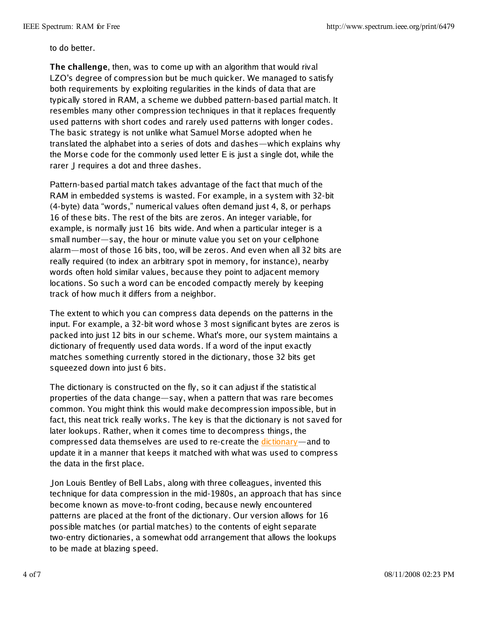to do better.

**The challenge**, then, was to come up with an algorithm that would rival LZO's degree of compression but be much quicker. We managed to satisfy both requirements by exploiting regularities in the kinds of data that are typically stored in RAM, a scheme we dubbed pattern-based partial match. It resembles many other compression techniques in that it replaces frequently used patterns with short codes and rarely used patterns with longer codes. The basic strategy is not unlike what Samuel Morse adopted when he translated the alphabet into a series of dots and dashes—which explains why the Morse code for the commonly used letter E is just a single dot, while the rarer J requires a dot and three dashes.

Pattern-based partial match takes advantage of the fact that much of the RAM in embedded systems is wasted. For example, in a system with 32-bit (4-byte) data "words," numerical values often demand just 4, 8, or perhaps 16 of these bits. The rest of the bits are zeros. An integer variable, for example, is normally just 16 bits wide. And when a particular integer is a small number—say, the hour or minute value you set on your cellphone alarm—most of those 16 bits, too, will be zeros. And even when all 32 bits are really required (to index an arbitrary spot in memory, for instance), nearby words often hold similar values, because they point to adjacent memory locations. So such a word can be encoded compactly merely by keeping track of how much it differs from a neighbor.

The extent to which you can compress data depends on the patterns in the input. For example, a 32‑bit word whose 3 most significant bytes are zeros is packed into just 12 bits in our scheme. What's more, our system maintains a dictionary of frequently used data words. If a word of the input exactly matches something currently stored in the dictionary, those 32 bits get squeezed down into just 6 bits.

The dictionary is constructed on the fly, so it can adjust if the statistical properties of the data change—say, when a pattern that was rare becomes common. You might think this would make decompression impossible, but in fact, this neat trick really works. The key is that the dictionary is not saved for later lookups. Rather, when it comes time to decompress things, the compressed data themselves are used to re-create the dictionary—and to update it in a manner that keeps it matched with what was used to compress the data in the first place.

Jon Louis Bentley of Bell Labs, along with three colleagues, invented this technique for data compression in the mid-1980s, an approach that has since become known as move-to-front coding, because newly encountered patterns are placed at the front of the dictionary. Our version allows for 16 possible matches (or partial matches) to the contents of eight separate two-entry dictionaries, a somewhat odd arrangement that allows the lookups to be made at blazing speed.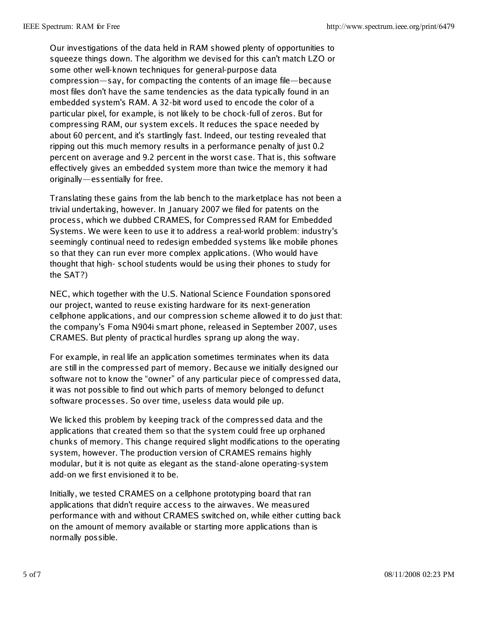Our investigations of the data held in RAM showed plenty of opportunities to squeeze things down. The algorithm we devised for this can't match LZO or some other well-known techniques for general-purpose data compression—say, for compacting the contents of an image file—because most files don't have the same tendencies as the data typically found in an embedded system's RAM. A 32-bit word used to encode the color of a particular pixel, for example, is not likely to be chock-full of zeros. But for compressing RAM, our system excels. It reduces the space needed by about 60 percent, and it's startlingly fast. Indeed, our testing revealed that ripping out this much memory results in a performance penalty of just 0.2 percent on average and 9.2 percent in the worst case. That is, this software effectively gives an embedded system more than twice the memory it had originally—essentially for free.

Translating these gains from the lab bench to the marketplace has not been a trivial undertaking, however. In January 2007 we filed for patents on the process, which we dubbed CRAMES, for Compressed RAM for Embedded Systems. We were keen to use it to address a real-world problem: industry's seemingly continual need to redesign embedded systems like mobile phones so that they can run ever more complex applications. (Who would have thought that high- school students would be using their phones to study for the SAT?)

NEC, which together with the U.S. National Science Foundation sponsored our project, wanted to reuse existing hardware for its next-generation cellphone applications, and our compression scheme allowed it to do just that: the company's Foma N904i smart phone, released in September 2007, uses CRAMES. But plenty of practical hurdles sprang up along the way.

For example, in real life an application sometimes terminates when its data are still in the compressed part of memory. Because we initially designed our software not to know the "owner" of any particular piece of compressed data, it was not possible to find out which parts of memory belonged to defunct software processes. So over time, useless data would pile up.

We licked this problem by keeping track of the compressed data and the applications that created them so that the system could free up orphaned chunks of memory. This change required slight modifications to the operating system, however. The production version of CRAMES remains highly modular, but it is not quite as elegant as the stand-alone operating-system add-on we first envisioned it to be.

Initially, we tested CRAMES on a cellphone prototyping board that ran applications that didn't require access to the airwaves. We measured performance with and without CRAMES switched on, while either cutting back on the amount of memory available or starting more applications than is normally possible.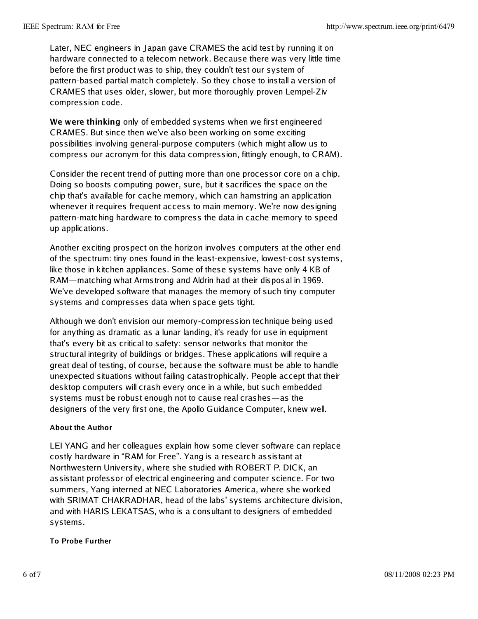Later, NEC engineers in Japan gave CRAMES the acid test by running it on hardware connected to a telecom network. Because there was very little time before the first product was to ship, they couldn't test our system of pattern-based partial match completely. So they chose to install a version of CRAMES that uses older, slower, but more thoroughly proven Lempel-Ziv compression code.

**We were thinking** only of embedded systems when we first engineered CRAMES. But since then we've also been working on some exciting possibilities involving general-purpose computers (which might allow us to compress our acronym for this data compression, fittingly enough, to CRAM).

Consider the recent trend of putting more than one processor core on a chip. Doing so boosts computing power, sure, but it sacrifices the space on the chip that's available for cache memory, which can hamstring an application whenever it requires frequent access to main memory. We're now designing pattern-matching hardware to compress the data in cache memory to speed up applications.

Another exciting prospect on the horizon involves computers at the other end of the spectrum: tiny ones found in the least-expensive, lowest-cost systems, like those in kitchen appliances. Some of these systems have only 4 KB of RAM—matching what Armstrong and Aldrin had at their disposal in 1969. We've developed software that manages the memory of such tiny computer systems and compresses data when space gets tight.

Although we don't envision our memory-compression technique being used for anything as dramatic as a lunar landing, it's ready for use in equipment that's every bit as critical to safety: sensor networks that monitor the structural integrity of buildings or bridges. These applications will require a great deal of testing, of course, because the software must be able to handle unexpected situations without failing catastrophically. People accept that their desktop computers will crash every once in a while, but such embedded systems must be robust enough not to cause real crashes—as the designers of the very first one, the Apollo Guidance Computer, knew well.

## **About the Author**

LEI YANG and her colleagues explain how some clever software can replace costly hardware in "RAM for Free". Yang is a research assistant at Northwestern University, where she studied with ROBERT P. DICK, an assistant professor of electrical engineering and computer science. For two summers, Yang interned at NEC Laboratories America, where she worked with SRIMAT CHAKRADHAR, head of the labs' systems architecture division, and with HARIS LEKATSAS, who is a consultant to designers of embedded systems.

## **To Probe Further**